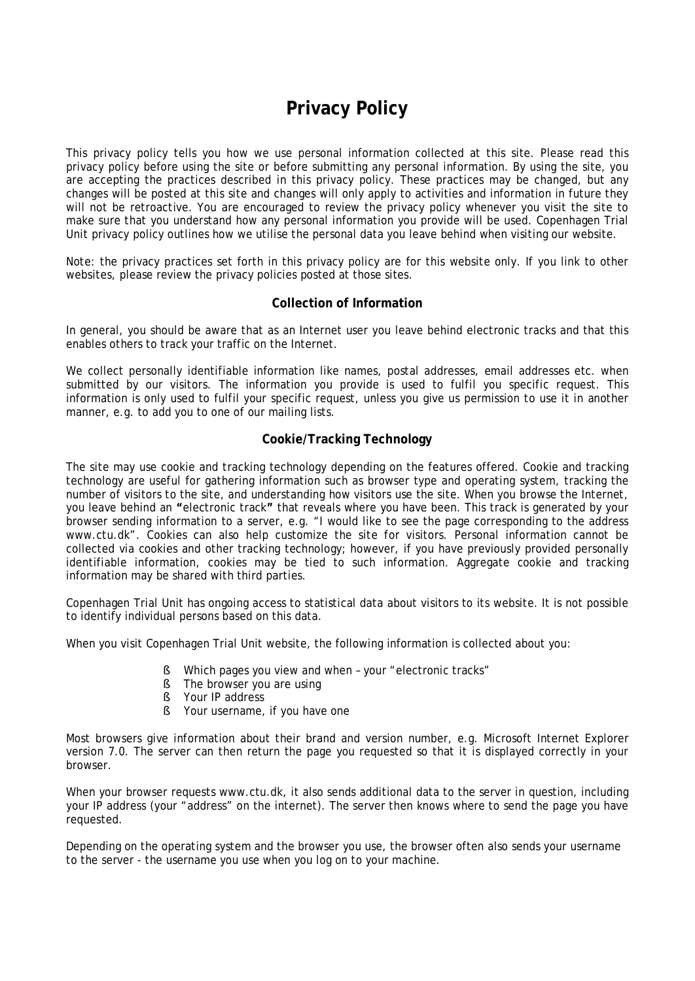# **Privacy Policy**

This privacy policy tells you how we use personal information collected at this site. Please read this privacy policy before using the site or before submitting any personal information. By using the site, you are accepting the practices described in this privacy policy. These practices may be changed, but any changes will be posted at this site and changes will only apply to activities and information in future they will not be retroactive. You are encouraged to review the privacy policy whenever you visit the site to make sure that you understand how any personal information you provide will be used. Copenhagen Trial Unit privacy policy outlines how we utilise the personal data you leave behind when visiting our website.

Note: the privacy practices set forth in this privacy policy are for this website only. If you link to other websites, please review the privacy policies posted at those sites.

# **Collection of Information**

In general, you should be aware that as an Internet user you leave behind electronic tracks and that this enables others to track your traffic on the Internet.

We collect personally identifiable information like names, postal addresses, email addresses etc. when submitted by our visitors. The information you provide is used to fulfil you specific request. This information is only used to fulfil your specific request, unless you give us permission to use it in another manner, e.g. to add you to one of our mailing lists.

### **Cookie/Tracking Technology**

The site may use cookie and tracking technology depending on the features offered. Cookie and tracking technology are useful for gathering information such as browser type and operating system, tracking the number of visitors to the site, and understanding how visitors use the site. When you browse the Internet, you leave behind an **"**electronic track**"** that reveals where you have been. This track is generated by your browser sending information to a server, e.g. "I would like to see the page corresponding to the address www.ctu.dk". Cookies can also help customize the site for visitors. Personal information cannot be collected via cookies and other tracking technology; however, if you have previously provided personally identifiable information, cookies may be tied to such information. Aggregate cookie and tracking information may be shared with third parties.

Copenhagen Trial Unit has ongoing access to statistical data about visitors to its website. It is not possible to identify individual persons based on this data.

When you visit Copenhagen Trial Unit website, the following information is collected about you:

- § Which pages you view and when your "electronic tracks"
- § The browser you are using
- § Your IP address
- § Your username, if you have one

Most browsers give information about their brand and version number, e.g. Microsoft Internet Explorer version 7.0. The server can then return the page you requested so that it is displayed correctly in your browser.

When your browser requests www.ctu.dk, it also sends additional data to the server in question, including your IP address (your "address" on the internet). The server then knows where to send the page you have requested.

Depending on the operating system and the browser you use, the browser often also sends your username to the server - the username you use when you log on to your machine.